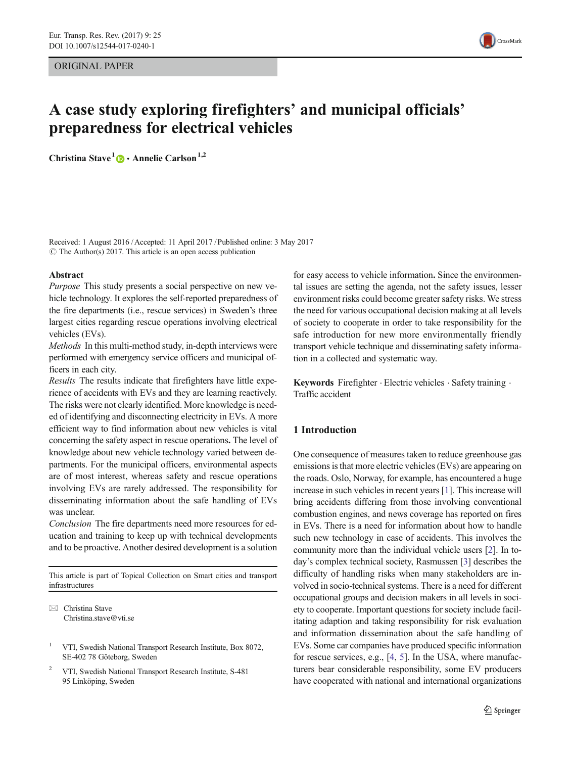ORIGINAL PAPER



# A case study exploring firefighters' and municipal officials' preparedness for electrical vehicles

Christina Stave<sup>1</sup>  $\bullet$  Annelie Carlson<sup>1,2</sup>

Received: 1 August 2016 /Accepted: 11 April 2017 /Published online: 3 May 2017  $\circ$  The Author(s) 2017. This article is an open access publication

#### Abstract

Purpose This study presents a social perspective on new vehicle technology. It explores the self-reported preparedness of the fire departments (i.e., rescue services) in Sweden's three largest cities regarding rescue operations involving electrical vehicles (EVs).

Methods In this multi-method study, in-depth interviews were performed with emergency service officers and municipal officers in each city.

Results The results indicate that firefighters have little experience of accidents with EVs and they are learning reactively. The risks were not clearly identified. More knowledge is needed of identifying and disconnecting electricity in EVs. A more efficient way to find information about new vehicles is vital concerning the safety aspect in rescue operations. The level of knowledge about new vehicle technology varied between departments. For the municipal officers, environmental aspects are of most interest, whereas safety and rescue operations involving EVs are rarely addressed. The responsibility for disseminating information about the safe handling of EVs was unclear.

Conclusion The fire departments need more resources for education and training to keep up with technical developments and to be proactive. Another desired development is a solution

This article is part of Topical Collection on Smart cities and transport infrastructures

 $\boxtimes$  Christina Stave Christina.stave@vti.se

<sup>2</sup> VTI, Swedish National Transport Research Institute, S-481 95 Linköping, Sweden

for easy access to vehicle information. Since the environmental issues are setting the agenda, not the safety issues, lesser environment risks could become greater safety risks. We stress the need for various occupational decision making at all levels of society to cooperate in order to take responsibility for the safe introduction for new more environmentally friendly transport vehicle technique and disseminating safety information in a collected and systematic way.

Keywords Firefighter · Electric vehicles · Safety training · Traffic accident

# 1 Introduction

One consequence of measures taken to reduce greenhouse gas emissions is that more electric vehicles (EVs) are appearing on the roads. Oslo, Norway, for example, has encountered a huge increase in such vehicles in recent years [[1\]](#page-8-0). This increase will bring accidents differing from those involving conventional combustion engines, and news coverage has reported on fires in EVs. There is a need for information about how to handle such new technology in case of accidents. This involves the community more than the individual vehicle users [\[2](#page-8-0)]. In today's complex technical society, Rasmussen [\[3](#page-8-0)] describes the difficulty of handling risks when many stakeholders are involved in socio-technical systems. There is a need for different occupational groups and decision makers in all levels in society to cooperate. Important questions for society include facilitating adaption and taking responsibility for risk evaluation and information dissemination about the safe handling of EVs. Some car companies have produced specific information for rescue services, e.g., [[4,](#page-8-0) [5\]](#page-8-0). In the USA, where manufacturers bear considerable responsibility, some EV producers have cooperated with national and international organizations

<sup>1</sup> VTI, Swedish National Transport Research Institute, Box 8072, SE-402 78 Göteborg, Sweden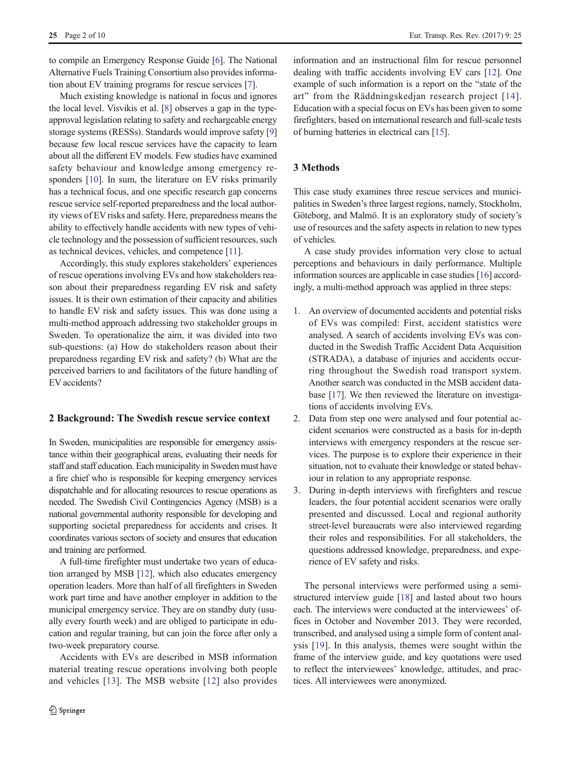to compile an Emergency Response Guide [[6](#page-8-0)]. The National Alternative Fuels Training Consortium also provides information about EV training programs for rescue services [\[7](#page-8-0)].

Much existing knowledge is national in focus and ignores the local level. Visvikis et al. [[8](#page-8-0)] observes a gap in the typeapproval legislation relating to safety and rechargeable energy storage systems (RESSs). Standards would improve safety [\[9\]](#page-8-0) because few local rescue services have the capacity to learn about all the different EV models. Few studies have examined safety behaviour and knowledge among emergency responders [[10\]](#page-8-0). In sum, the literature on EV risks primarily has a technical focus, and one specific research gap concerns rescue service self-reported preparedness and the local authority views of EV risks and safety. Here, preparedness means the ability to effectively handle accidents with new types of vehicle technology and the possession of sufficient resources, such as technical devices, vehicles, and competence [[11\]](#page-8-0).

Accordingly, this study explores stakeholders' experiences of rescue operations involving EVs and how stakeholders reason about their preparedness regarding EV risk and safety issues. It is their own estimation of their capacity and abilities to handle EV risk and safety issues. This was done using a multi-method approach addressing two stakeholder groups in Sweden. To operationalize the aim, it was divided into two sub-questions: (a) How do stakeholders reason about their preparedness regarding EV risk and safety? (b) What are the perceived barriers to and facilitators of the future handling of EV accidents?

### 2 Background: The Swedish rescue service context

In Sweden, municipalities are responsible for emergency assistance within their geographical areas, evaluating their needs for staff and staff education. Each municipality in Sweden must have a fire chief who is responsible for keeping emergency services dispatchable and for allocating resources to rescue operations as needed. The Swedish Civil Contingencies Agency (MSB) is a national governmental authority responsible for developing and supporting societal preparedness for accidents and crises. It coordinates various sectors of society and ensures that education and training are performed.

A full-time firefighter must undertake two years of education arranged by MSB [\[12\]](#page-8-0), which also educates emergency operation leaders. More than half of all firefighters in Sweden work part time and have another employer in addition to the municipal emergency service. They are on standby duty (usually every fourth week) and are obliged to participate in education and regular training, but can join the force after only a two-week preparatory course.

Accidents with EVs are described in MSB information material treating rescue operations involving both people and vehicles [[13](#page-8-0)]. The MSB website [\[12\]](#page-8-0) also provides

information and an instructional film for rescue personnel dealing with traffic accidents involving EV cars [\[12](#page-8-0)]. One example of such information is a report on the "state of the art" from the Räddningskedjan research project [[14](#page-8-0)]. Education with a special focus on EVs has been given to some firefighters, based on international research and full-scale tests of burning batteries in electrical cars [[15\]](#page-8-0).

# 3 Methods

This case study examines three rescue services and municipalities in Sweden's three largest regions, namely, Stockholm, Göteborg, and Malmö. It is an exploratory study of society's use of resources and the safety aspects in relation to new types of vehicles.

A case study provides information very close to actual perceptions and behaviours in daily performance. Multiple information sources are applicable in case studies [\[16](#page-9-0)] accordingly, a multi-method approach was applied in three steps:

- 1. An overview of documented accidents and potential risks of EVs was compiled: First, accident statistics were analysed. A search of accidents involving EVs was conducted in the Swedish Traffic Accident Data Acquisition (STRADA), a database of injuries and accidents occurring throughout the Swedish road transport system. Another search was conducted in the MSB accident database [\[17\]](#page-9-0). We then reviewed the literature on investigations of accidents involving EVs.
- 2. Data from step one were analysed and four potential accident scenarios were constructed as a basis for in-depth interviews with emergency responders at the rescue services. The purpose is to explore their experience in their situation, not to evaluate their knowledge or stated behaviour in relation to any appropriate response.
- 3. During in-depth interviews with firefighters and rescue leaders, the four potential accident scenarios were orally presented and discussed. Local and regional authority street-level bureaucrats were also interviewed regarding their roles and responsibilities. For all stakeholders, the questions addressed knowledge, preparedness, and experience of EV safety and risks.

The personal interviews were performed using a semistructured interview guide [[18\]](#page-9-0) and lasted about two hours each. The interviews were conducted at the interviewees' offices in October and November 2013. They were recorded, transcribed, and analysed using a simple form of content analysis [[19\]](#page-9-0). In this analysis, themes were sought within the frame of the interview guide, and key quotations were used to reflect the interviewees' knowledge, attitudes, and practices. All interviewees were anonymized.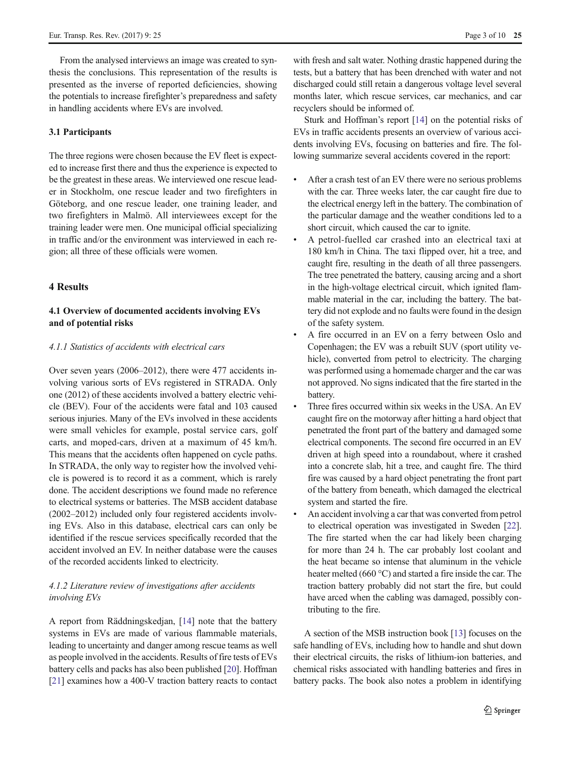From the analysed interviews an image was created to synthesis the conclusions. This representation of the results is presented as the inverse of reported deficiencies, showing the potentials to increase firefighter's preparedness and safety in handling accidents where EVs are involved.

### 3.1 Participants

The three regions were chosen because the EV fleet is expected to increase first there and thus the experience is expected to be the greatest in these areas. We interviewed one rescue leader in Stockholm, one rescue leader and two firefighters in Göteborg, and one rescue leader, one training leader, and two firefighters in Malmö. All interviewees except for the training leader were men. One municipal official specializing in traffic and/or the environment was interviewed in each region; all three of these officials were women.

# 4 Results

# 4.1 Overview of documented accidents involving EVs and of potential risks

### 4.1.1 Statistics of accidents with electrical cars

Over seven years (2006–2012), there were 477 accidents involving various sorts of EVs registered in STRADA. Only one (2012) of these accidents involved a battery electric vehicle (BEV). Four of the accidents were fatal and 103 caused serious injuries. Many of the EVs involved in these accidents were small vehicles for example, postal service cars, golf carts, and moped-cars, driven at a maximum of 45 km/h. This means that the accidents often happened on cycle paths. In STRADA, the only way to register how the involved vehicle is powered is to record it as a comment, which is rarely done. The accident descriptions we found made no reference to electrical systems or batteries. The MSB accident database (2002–2012) included only four registered accidents involving EVs. Also in this database, electrical cars can only be identified if the rescue services specifically recorded that the accident involved an EV. In neither database were the causes of the recorded accidents linked to electricity.

# 4.1.2 Literature review of investigations after accidents involving EVs

A report from Räddningskedjan, [\[14\]](#page-8-0) note that the battery systems in EVs are made of various flammable materials, leading to uncertainty and danger among rescue teams as well as people involved in the accidents. Results of fire tests of EVs battery cells and packs has also been published [[20](#page-9-0)]. Hoffman [\[21\]](#page-9-0) examines how a 400-V traction battery reacts to contact

with fresh and salt water. Nothing drastic happened during the tests, but a battery that has been drenched with water and not discharged could still retain a dangerous voltage level several months later, which rescue services, car mechanics, and car recyclers should be informed of.

Sturk and Hoffman's report [\[14\]](#page-8-0) on the potential risks of EVs in traffic accidents presents an overview of various accidents involving EVs, focusing on batteries and fire. The following summarize several accidents covered in the report:

- & After a crash test of an EV there were no serious problems with the car. Three weeks later, the car caught fire due to the electrical energy left in the battery. The combination of the particular damage and the weather conditions led to a short circuit, which caused the car to ignite.
- & A petrol-fuelled car crashed into an electrical taxi at 180 km/h in China. The taxi flipped over, hit a tree, and caught fire, resulting in the death of all three passengers. The tree penetrated the battery, causing arcing and a short in the high-voltage electrical circuit, which ignited flammable material in the car, including the battery. The battery did not explode and no faults were found in the design of the safety system.
- & A fire occurred in an EV on a ferry between Oslo and Copenhagen; the EV was a rebuilt SUV (sport utility vehicle), converted from petrol to electricity. The charging was performed using a homemade charger and the car was not approved. No signs indicated that the fire started in the battery.
- Three fires occurred within six weeks in the USA. An EV caught fire on the motorway after hitting a hard object that penetrated the front part of the battery and damaged some electrical components. The second fire occurred in an EV driven at high speed into a roundabout, where it crashed into a concrete slab, hit a tree, and caught fire. The third fire was caused by a hard object penetrating the front part of the battery from beneath, which damaged the electrical system and started the fire.
- An accident involving a car that was converted from petrol to electrical operation was investigated in Sweden [[22\]](#page-9-0). The fire started when the car had likely been charging for more than 24 h. The car probably lost coolant and the heat became so intense that aluminum in the vehicle heater melted (660 °C) and started a fire inside the car. The traction battery probably did not start the fire, but could have arced when the cabling was damaged, possibly contributing to the fire.

A section of the MSB instruction book [\[13](#page-8-0)] focuses on the safe handling of EVs, including how to handle and shut down their electrical circuits, the risks of lithium-ion batteries, and chemical risks associated with handling batteries and fires in battery packs. The book also notes a problem in identifying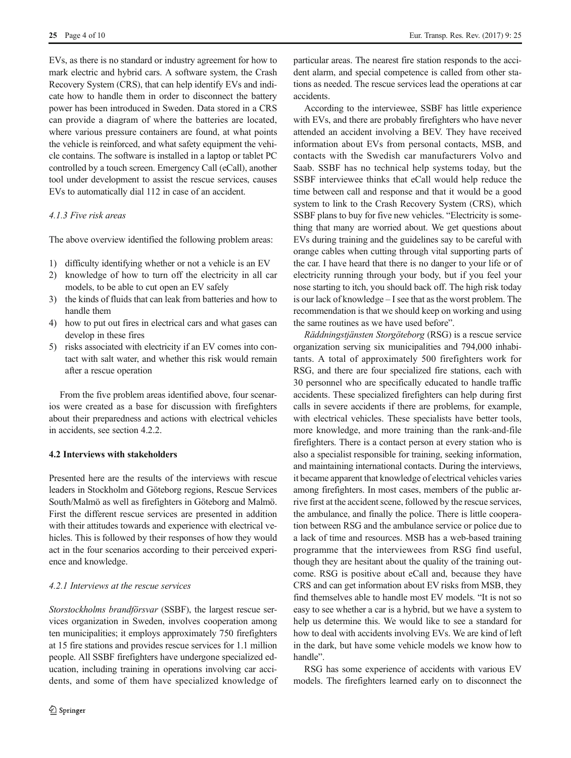EVs, as there is no standard or industry agreement for how to mark electric and hybrid cars. A software system, the Crash Recovery System (CRS), that can help identify EVs and indicate how to handle them in order to disconnect the battery power has been introduced in Sweden. Data stored in a CRS can provide a diagram of where the batteries are located, where various pressure containers are found, at what points the vehicle is reinforced, and what safety equipment the vehicle contains. The software is installed in a laptop or tablet PC controlled by a touch screen. Emergency Call (eCall), another tool under development to assist the rescue services, causes EVs to automatically dial 112 in case of an accident.

# 4.1.3 Five risk areas

The above overview identified the following problem areas:

- 1) difficulty identifying whether or not a vehicle is an EV
- 2) knowledge of how to turn off the electricity in all car models, to be able to cut open an EV safely
- 3) the kinds of fluids that can leak from batteries and how to handle them
- 4) how to put out fires in electrical cars and what gases can develop in these fires
- 5) risks associated with electricity if an EV comes into contact with salt water, and whether this risk would remain after a rescue operation

From the five problem areas identified above, four scenarios were created as a base for discussion with firefighters about their preparedness and actions with electrical vehicles in accidents, see section 4.2.2.

# 4.2 Interviews with stakeholders

Presented here are the results of the interviews with rescue leaders in Stockholm and Göteborg regions, Rescue Services South/Malmö as well as firefighters in Göteborg and Malmö. First the different rescue services are presented in addition with their attitudes towards and experience with electrical vehicles. This is followed by their responses of how they would act in the four scenarios according to their perceived experience and knowledge.

# 4.2.1 Interviews at the rescue services

Storstockholms brandförsvar (SSBF), the largest rescue services organization in Sweden, involves cooperation among ten municipalities; it employs approximately 750 firefighters at 15 fire stations and provides rescue services for 1.1 million people. All SSBF firefighters have undergone specialized education, including training in operations involving car accidents, and some of them have specialized knowledge of

particular areas. The nearest fire station responds to the accident alarm, and special competence is called from other stations as needed. The rescue services lead the operations at car accidents.

According to the interviewee, SSBF has little experience with EVs, and there are probably firefighters who have never attended an accident involving a BEV. They have received information about EVs from personal contacts, MSB, and contacts with the Swedish car manufacturers Volvo and Saab. SSBF has no technical help systems today, but the SSBF interviewee thinks that eCall would help reduce the time between call and response and that it would be a good system to link to the Crash Recovery System (CRS), which SSBF plans to buy for five new vehicles. "Electricity is something that many are worried about. We get questions about EVs during training and the guidelines say to be careful with orange cables when cutting through vital supporting parts of the car. I have heard that there is no danger to your life or of electricity running through your body, but if you feel your nose starting to itch, you should back off. The high risk today is our lack of knowledge – I see that as the worst problem. The recommendation is that we should keep on working and using the same routines as we have used before".

Räddningstjänsten Storgöteborg (RSG) is a rescue service organization serving six municipalities and 794,000 inhabitants. A total of approximately 500 firefighters work for RSG, and there are four specialized fire stations, each with 30 personnel who are specifically educated to handle traffic accidents. These specialized firefighters can help during first calls in severe accidents if there are problems, for example, with electrical vehicles. These specialists have better tools, more knowledge, and more training than the rank-and-file firefighters. There is a contact person at every station who is also a specialist responsible for training, seeking information, and maintaining international contacts. During the interviews, it became apparent that knowledge of electrical vehicles varies among firefighters. In most cases, members of the public arrive first at the accident scene, followed by the rescue services, the ambulance, and finally the police. There is little cooperation between RSG and the ambulance service or police due to a lack of time and resources. MSB has a web-based training programme that the interviewees from RSG find useful, though they are hesitant about the quality of the training outcome. RSG is positive about eCall and, because they have CRS and can get information about EV risks from MSB, they find themselves able to handle most EV models. "It is not so easy to see whether a car is a hybrid, but we have a system to help us determine this. We would like to see a standard for how to deal with accidents involving EVs. We are kind of left in the dark, but have some vehicle models we know how to handle".

RSG has some experience of accidents with various EV models. The firefighters learned early on to disconnect the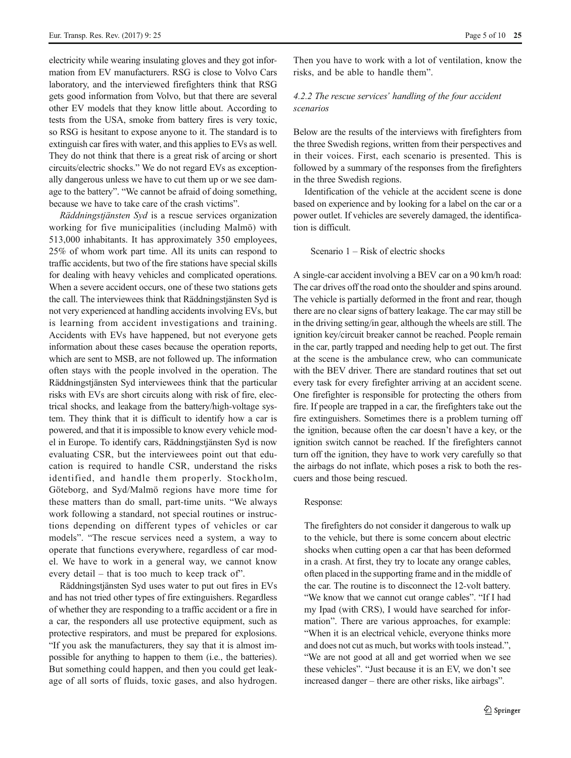electricity while wearing insulating gloves and they got information from EV manufacturers. RSG is close to Volvo Cars laboratory, and the interviewed firefighters think that RSG gets good information from Volvo, but that there are several other EV models that they know little about. According to tests from the USA, smoke from battery fires is very toxic, so RSG is hesitant to expose anyone to it. The standard is to extinguish car fires with water, and this applies to EVs as well. They do not think that there is a great risk of arcing or short circuits/electric shocks." We do not regard EVs as exceptionally dangerous unless we have to cut them up or we see damage to the battery". "We cannot be afraid of doing something, because we have to take care of the crash victims".

Räddningstjänsten Syd is a rescue services organization working for five municipalities (including Malmö) with 513,000 inhabitants. It has approximately 350 employees, 25% of whom work part time. All its units can respond to traffic accidents, but two of the fire stations have special skills for dealing with heavy vehicles and complicated operations. When a severe accident occurs, one of these two stations gets the call. The interviewees think that Räddningstjänsten Syd is not very experienced at handling accidents involving EVs, but is learning from accident investigations and training. Accidents with EVs have happened, but not everyone gets information about these cases because the operation reports, which are sent to MSB, are not followed up. The information often stays with the people involved in the operation. The Räddningstjänsten Syd interviewees think that the particular risks with EVs are short circuits along with risk of fire, electrical shocks, and leakage from the battery/high-voltage system. They think that it is difficult to identify how a car is powered, and that it is impossible to know every vehicle model in Europe. To identify cars, Räddningstjänsten Syd is now evaluating CSR, but the interviewees point out that education is required to handle CSR, understand the risks identified, and handle them properly. Stockholm, Göteborg, and Syd/Malmö regions have more time for these matters than do small, part-time units. "We always work following a standard, not special routines or instructions depending on different types of vehicles or car models". "The rescue services need a system, a way to operate that functions everywhere, regardless of car model. We have to work in a general way, we cannot know every detail – that is too much to keep track of".

Räddningstjänsten Syd uses water to put out fires in EVs and has not tried other types of fire extinguishers. Regardless of whether they are responding to a traffic accident or a fire in a car, the responders all use protective equipment, such as protective respirators, and must be prepared for explosions. "If you ask the manufacturers, they say that it is almost impossible for anything to happen to them (i.e., the batteries). But something could happen, and then you could get leakage of all sorts of fluids, toxic gases, and also hydrogen.

Then you have to work with a lot of ventilation, know the risks, and be able to handle them".

# 4.2.2 The rescue services' handling of the four accident scenarios

Below are the results of the interviews with firefighters from the three Swedish regions, written from their perspectives and in their voices. First, each scenario is presented. This is followed by a summary of the responses from the firefighters in the three Swedish regions.

Identification of the vehicle at the accident scene is done based on experience and by looking for a label on the car or a power outlet. If vehicles are severely damaged, the identification is difficult.

Scenario 1 – Risk of electric shocks

A single-car accident involving a BEV car on a 90 km/h road: The car drives off the road onto the shoulder and spins around. The vehicle is partially deformed in the front and rear, though there are no clear signs of battery leakage. The car may still be in the driving setting/in gear, although the wheels are still. The ignition key/circuit breaker cannot be reached. People remain in the car, partly trapped and needing help to get out. The first at the scene is the ambulance crew, who can communicate with the BEV driver. There are standard routines that set out every task for every firefighter arriving at an accident scene. One firefighter is responsible for protecting the others from fire. If people are trapped in a car, the firefighters take out the fire extinguishers. Sometimes there is a problem turning off the ignition, because often the car doesn't have a key, or the ignition switch cannot be reached. If the firefighters cannot turn off the ignition, they have to work very carefully so that the airbags do not inflate, which poses a risk to both the rescuers and those being rescued.

### Response:

The firefighters do not consider it dangerous to walk up to the vehicle, but there is some concern about electric shocks when cutting open a car that has been deformed in a crash. At first, they try to locate any orange cables, often placed in the supporting frame and in the middle of the car. The routine is to disconnect the 12-volt battery. "We know that we cannot cut orange cables". "If I had my Ipad (with CRS), I would have searched for information". There are various approaches, for example: "When it is an electrical vehicle, everyone thinks more and does not cut as much, but works with tools instead.", "We are not good at all and get worried when we see these vehicles". "Just because it is an EV, we don't see increased danger – there are other risks, like airbags".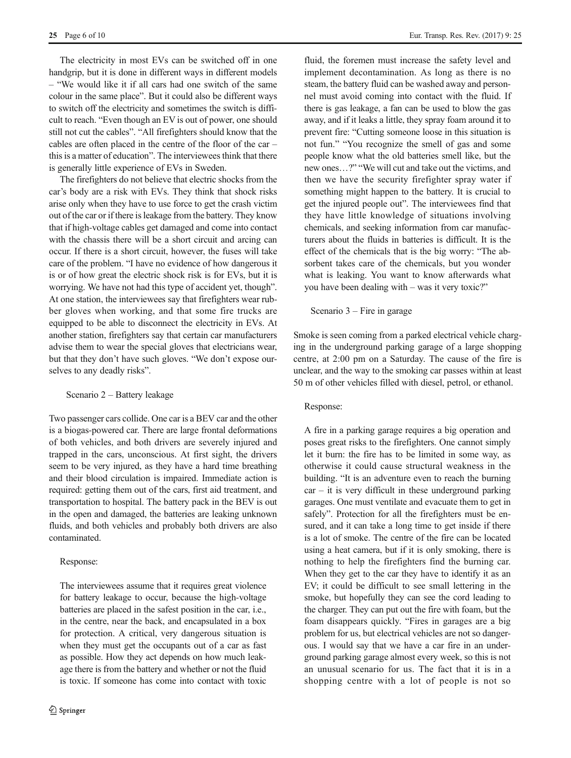The electricity in most EVs can be switched off in one handgrip, but it is done in different ways in different models – "We would like it if all cars had one switch of the same colour in the same place". But it could also be different ways to switch off the electricity and sometimes the switch is difficult to reach. "Even though an EV is out of power, one should still not cut the cables". "All firefighters should know that the cables are often placed in the centre of the floor of the car – this is a matter of education". The interviewees think that there is generally little experience of EVs in Sweden.

The firefighters do not believe that electric shocks from the car's body are a risk with EVs. They think that shock risks arise only when they have to use force to get the crash victim out of the car or if there is leakage from the battery. They know that if high-voltage cables get damaged and come into contact with the chassis there will be a short circuit and arcing can occur. If there is a short circuit, however, the fuses will take care of the problem. "I have no evidence of how dangerous it is or of how great the electric shock risk is for EVs, but it is worrying. We have not had this type of accident yet, though". At one station, the interviewees say that firefighters wear rubber gloves when working, and that some fire trucks are equipped to be able to disconnect the electricity in EVs. At another station, firefighters say that certain car manufacturers advise them to wear the special gloves that electricians wear, but that they don't have such gloves. "We don't expose ourselves to any deadly risks".

#### Scenario 2 – Battery leakage

Two passenger cars collide. One car is a BEV car and the other is a biogas-powered car. There are large frontal deformations of both vehicles, and both drivers are severely injured and trapped in the cars, unconscious. At first sight, the drivers seem to be very injured, as they have a hard time breathing and their blood circulation is impaired. Immediate action is required: getting them out of the cars, first aid treatment, and transportation to hospital. The battery pack in the BEV is out in the open and damaged, the batteries are leaking unknown fluids, and both vehicles and probably both drivers are also contaminated.

#### Response:

The interviewees assume that it requires great violence for battery leakage to occur, because the high-voltage batteries are placed in the safest position in the car, i.e., in the centre, near the back, and encapsulated in a box for protection. A critical, very dangerous situation is when they must get the occupants out of a car as fast as possible. How they act depends on how much leakage there is from the battery and whether or not the fluid is toxic. If someone has come into contact with toxic

fluid, the foremen must increase the safety level and implement decontamination. As long as there is no steam, the battery fluid can be washed away and personnel must avoid coming into contact with the fluid. If there is gas leakage, a fan can be used to blow the gas away, and if it leaks a little, they spray foam around it to prevent fire: "Cutting someone loose in this situation is not fun." "You recognize the smell of gas and some people know what the old batteries smell like, but the new ones…?" "We will cut and take out the victims, and then we have the security firefighter spray water if something might happen to the battery. It is crucial to get the injured people out". The interviewees find that they have little knowledge of situations involving chemicals, and seeking information from car manufacturers about the fluids in batteries is difficult. It is the effect of the chemicals that is the big worry: "The absorbent takes care of the chemicals, but you wonder what is leaking. You want to know afterwards what you have been dealing with – was it very toxic?"

#### Scenario 3 – Fire in garage

Smoke is seen coming from a parked electrical vehicle charging in the underground parking garage of a large shopping centre, at 2:00 pm on a Saturday. The cause of the fire is unclear, and the way to the smoking car passes within at least 50 m of other vehicles filled with diesel, petrol, or ethanol.

#### Response:

A fire in a parking garage requires a big operation and poses great risks to the firefighters. One cannot simply let it burn: the fire has to be limited in some way, as otherwise it could cause structural weakness in the building. "It is an adventure even to reach the burning  $car - it$  is very difficult in these underground parking garages. One must ventilate and evacuate them to get in safely". Protection for all the firefighters must be ensured, and it can take a long time to get inside if there is a lot of smoke. The centre of the fire can be located using a heat camera, but if it is only smoking, there is nothing to help the firefighters find the burning car. When they get to the car they have to identify it as an EV; it could be difficult to see small lettering in the smoke, but hopefully they can see the cord leading to the charger. They can put out the fire with foam, but the foam disappears quickly. "Fires in garages are a big problem for us, but electrical vehicles are not so dangerous. I would say that we have a car fire in an underground parking garage almost every week, so this is not an unusual scenario for us. The fact that it is in a shopping centre with a lot of people is not so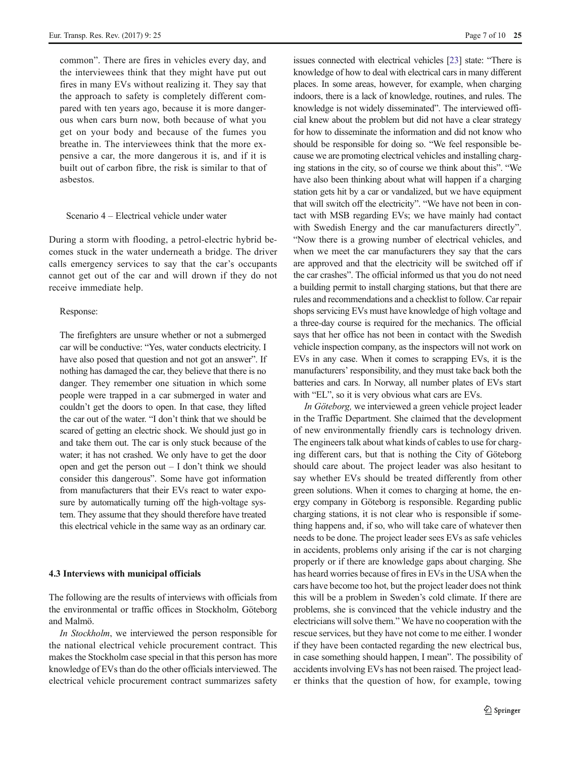common". There are fires in vehicles every day, and the interviewees think that they might have put out fires in many EVs without realizing it. They say that the approach to safety is completely different compared with ten years ago, because it is more dangerous when cars burn now, both because of what you get on your body and because of the fumes you breathe in. The interviewees think that the more expensive a car, the more dangerous it is, and if it is built out of carbon fibre, the risk is similar to that of asbestos.

# Scenario 4 – Electrical vehicle under water

During a storm with flooding, a petrol-electric hybrid becomes stuck in the water underneath a bridge. The driver calls emergency services to say that the car's occupants cannot get out of the car and will drown if they do not receive immediate help.

#### Response:

The firefighters are unsure whether or not a submerged car will be conductive: "Yes, water conducts electricity. I have also posed that question and not got an answer". If nothing has damaged the car, they believe that there is no danger. They remember one situation in which some people were trapped in a car submerged in water and couldn't get the doors to open. In that case, they lifted the car out of the water. "I don't think that we should be scared of getting an electric shock. We should just go in and take them out. The car is only stuck because of the water; it has not crashed. We only have to get the door open and get the person out  $-I$  don't think we should consider this dangerous". Some have got information from manufacturers that their EVs react to water exposure by automatically turning off the high-voltage system. They assume that they should therefore have treated this electrical vehicle in the same way as an ordinary car.

#### 4.3 Interviews with municipal officials

The following are the results of interviews with officials from the environmental or traffic offices in Stockholm, Göteborg and Malmö.

In Stockholm, we interviewed the person responsible for the national electrical vehicle procurement contract. This makes the Stockholm case special in that this person has more knowledge of EVs than do the other officials interviewed. The electrical vehicle procurement contract summarizes safety issues connected with electrical vehicles [\[23\]](#page-9-0) state: "There is knowledge of how to deal with electrical cars in many different places. In some areas, however, for example, when charging indoors, there is a lack of knowledge, routines, and rules. The knowledge is not widely disseminated". The interviewed official knew about the problem but did not have a clear strategy for how to disseminate the information and did not know who should be responsible for doing so. "We feel responsible because we are promoting electrical vehicles and installing charging stations in the city, so of course we think about this". "We have also been thinking about what will happen if a charging station gets hit by a car or vandalized, but we have equipment that will switch off the electricity". "We have not been in contact with MSB regarding EVs; we have mainly had contact with Swedish Energy and the car manufacturers directly". "Now there is a growing number of electrical vehicles, and when we meet the car manufacturers they say that the cars are approved and that the electricity will be switched off if the car crashes". The official informed us that you do not need a building permit to install charging stations, but that there are rules and recommendations and a checklist to follow. Car repair shops servicing EVs must have knowledge of high voltage and a three-day course is required for the mechanics. The official says that her office has not been in contact with the Swedish vehicle inspection company, as the inspectors will not work on EVs in any case. When it comes to scrapping EVs, it is the manufacturers' responsibility, and they must take back both the batteries and cars. In Norway, all number plates of EVs start with "EL", so it is very obvious what cars are EVs.

In Göteborg, we interviewed a green vehicle project leader in the Traffic Department. She claimed that the development of new environmentally friendly cars is technology driven. The engineers talk about what kinds of cables to use for charging different cars, but that is nothing the City of Göteborg should care about. The project leader was also hesitant to say whether EVs should be treated differently from other green solutions. When it comes to charging at home, the energy company in Göteborg is responsible. Regarding public charging stations, it is not clear who is responsible if something happens and, if so, who will take care of whatever then needs to be done. The project leader sees EVs as safe vehicles in accidents, problems only arising if the car is not charging properly or if there are knowledge gaps about charging. She has heard worries because of fires in EVs in the USAwhen the cars have become too hot, but the project leader does not think this will be a problem in Sweden's cold climate. If there are problems, she is convinced that the vehicle industry and the electricians will solve them." We have no cooperation with the rescue services, but they have not come to me either. I wonder if they have been contacted regarding the new electrical bus, in case something should happen, I mean". The possibility of accidents involving EVs has not been raised. The project leader thinks that the question of how, for example, towing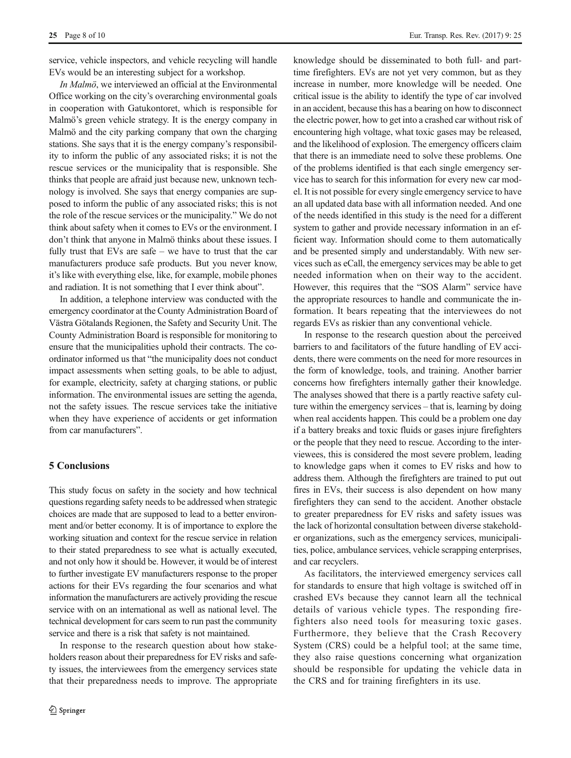service, vehicle inspectors, and vehicle recycling will handle EVs would be an interesting subject for a workshop.

In Malmö, we interviewed an official at the Environmental Office working on the city's overarching environmental goals in cooperation with Gatukontoret, which is responsible for Malmö's green vehicle strategy. It is the energy company in Malmö and the city parking company that own the charging stations. She says that it is the energy company's responsibility to inform the public of any associated risks; it is not the rescue services or the municipality that is responsible. She thinks that people are afraid just because new, unknown technology is involved. She says that energy companies are supposed to inform the public of any associated risks; this is not the role of the rescue services or the municipality." We do not think about safety when it comes to EVs or the environment. I don't think that anyone in Malmö thinks about these issues. I fully trust that EVs are safe – we have to trust that the car manufacturers produce safe products. But you never know, it's like with everything else, like, for example, mobile phones and radiation. It is not something that I ever think about".

In addition, a telephone interview was conducted with the emergency coordinator at the County Administration Board of Västra Götalands Regionen, the Safety and Security Unit. The County Administration Board is responsible for monitoring to ensure that the municipalities uphold their contracts. The coordinator informed us that "the municipality does not conduct impact assessments when setting goals, to be able to adjust, for example, electricity, safety at charging stations, or public information. The environmental issues are setting the agenda, not the safety issues. The rescue services take the initiative when they have experience of accidents or get information from car manufacturers".

# 5 Conclusions

This study focus on safety in the society and how technical questions regarding safety needs to be addressed when strategic choices are made that are supposed to lead to a better environment and/or better economy. It is of importance to explore the working situation and context for the rescue service in relation to their stated preparedness to see what is actually executed, and not only how it should be. However, it would be of interest to further investigate EV manufacturers response to the proper actions for their EVs regarding the four scenarios and what information the manufacturers are actively providing the rescue service with on an international as well as national level. The technical development for cars seem to run past the community service and there is a risk that safety is not maintained.

In response to the research question about how stakeholders reason about their preparedness for EV risks and safety issues, the interviewees from the emergency services state that their preparedness needs to improve. The appropriate

knowledge should be disseminated to both full- and parttime firefighters. EVs are not yet very common, but as they increase in number, more knowledge will be needed. One critical issue is the ability to identify the type of car involved in an accident, because this has a bearing on how to disconnect the electric power, how to get into a crashed car without risk of encountering high voltage, what toxic gases may be released, and the likelihood of explosion. The emergency officers claim that there is an immediate need to solve these problems. One of the problems identified is that each single emergency service has to search for this information for every new car model. It is not possible for every single emergency service to have an all updated data base with all information needed. And one of the needs identified in this study is the need for a different system to gather and provide necessary information in an efficient way. Information should come to them automatically and be presented simply and understandably. With new services such as eCall, the emergency services may be able to get needed information when on their way to the accident. However, this requires that the "SOS Alarm" service have the appropriate resources to handle and communicate the information. It bears repeating that the interviewees do not regards EVs as riskier than any conventional vehicle.

In response to the research question about the perceived barriers to and facilitators of the future handling of EV accidents, there were comments on the need for more resources in the form of knowledge, tools, and training. Another barrier concerns how firefighters internally gather their knowledge. The analyses showed that there is a partly reactive safety culture within the emergency services – that is, learning by doing when real accidents happen. This could be a problem one day if a battery breaks and toxic fluids or gases injure firefighters or the people that they need to rescue. According to the interviewees, this is considered the most severe problem, leading to knowledge gaps when it comes to EV risks and how to address them. Although the firefighters are trained to put out fires in EVs, their success is also dependent on how many firefighters they can send to the accident. Another obstacle to greater preparedness for EV risks and safety issues was the lack of horizontal consultation between diverse stakeholder organizations, such as the emergency services, municipalities, police, ambulance services, vehicle scrapping enterprises, and car recyclers.

As facilitators, the interviewed emergency services call for standards to ensure that high voltage is switched off in crashed EVs because they cannot learn all the technical details of various vehicle types. The responding firefighters also need tools for measuring toxic gases. Furthermore, they believe that the Crash Recovery System (CRS) could be a helpful tool; at the same time, they also raise questions concerning what organization should be responsible for updating the vehicle data in the CRS and for training firefighters in its use.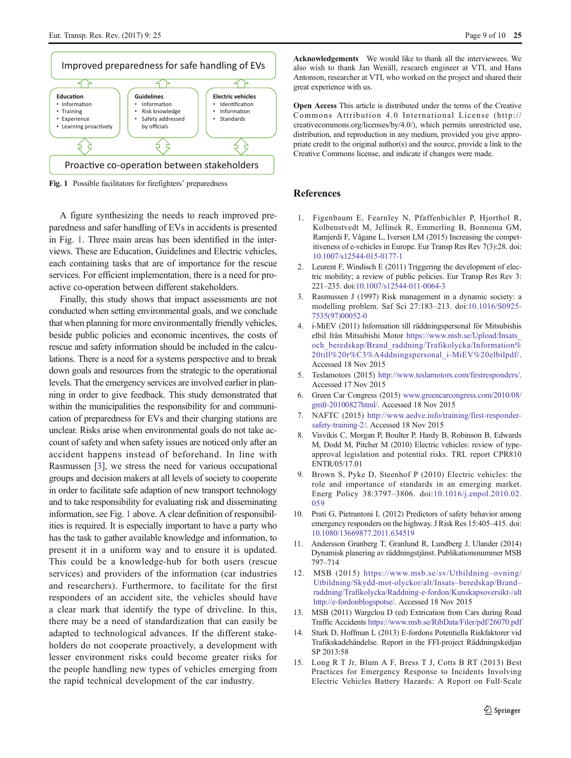<span id="page-8-0"></span>

Fig. 1 Possible facilitators for firefighters' preparedness

A figure synthesizing the needs to reach improved preparedness and safer handling of EVs in accidents is presented in Fig. 1. Three main areas has been identified in the interviews. These are Education, Guidelines and Electric vehicles, each containing tasks that are of importance for the rescue services. For efficient implementation, there is a need for proactive co-operation between different stakeholders.

Finally, this study shows that impact assessments are not conducted when setting environmental goals, and we conclude that when planning for more environmentally friendly vehicles, beside public policies and economic incentives, the costs of rescue and safety information should be included in the calculations. There is a need for a systems perspective and to break down goals and resources from the strategic to the operational levels. That the emergency services are involved earlier in planning in order to give feedback. This study demonstrated that within the municipalities the responsibility for and communication of preparedness for EVs and their charging stations are unclear. Risks arise when environmental goals do not take account of safety and when safety issues are noticed only after an accident happens instead of beforehand. In line with Rasmussen [3], we stress the need for various occupational groups and decision makers at all levels of society to cooperate in order to facilitate safe adaption of new transport technology and to take responsibility for evaluating risk and disseminating information, see Fig. 1 above. A clear definition of responsibilities is required. It is especially important to have a party who has the task to gather available knowledge and information, to present it in a uniform way and to ensure it is updated. This could be a knowledge-hub for both users (rescue services) and providers of the information (car industries and researchers). Furthermore, to facilitate for the first responders of an accident site, the vehicles should have a clear mark that identify the type of driveline. In this, there may be a need of standardization that can easily be adapted to technological advances. If the different stakeholders do not cooperate proactively, a development with lesser environment risks could become greater risks for the people handling new types of vehicles emerging from the rapid technical development of the car industry.

Acknowledgements We would like to thank all the interviewees. We also wish to thank Jan Wenäll, research engineer at VTI, and Hans Antonson, researcher at VTI, who worked on the project and shared their great experience with us.

Open Access This article is distributed under the terms of the Creative Commons Attribution 4.0 International License (http:// creativecommons.org/licenses/by/4.0/), which permits unrestricted use, distribution, and reproduction in any medium, provided you give appropriate credit to the original author(s) and the source, provide a link to the Creative Commons license, and indicate if changes were made.

### References

- 1. Figenbaum E, Fearnley N, Pfaffenbichler P, Hjorthol R, Kolbenstvedt M, Jellinek R, Emmerling B, Bonnema GM, Ramjerdi F, Vågane L, Iversen LM (2015) Increasing the competitiveness of e-vehicles in Europe. Eur Transp Res Rev 7(3):28. doi: [10.1007/s12544-015-0177-1](http://dx.doi.org/10.1007/s12544-015-0177-1)
- 2. Leurent F, Windisch E (2011) Triggering the development of electric mobility; a review of public policies. Eur Transp Res Rev 3: 221–235. doi[:10.1007/s12544-011-0064-3](http://dx.doi.org/10.1007/s12544-011-0064-3)
- 3. Rasmussen J (1997) Risk management in a dynamic society: a modelling problem. Saf Sci 27:183–213. doi[:10.1016/S0925-](http://dx.doi.org/10.1016/S0925-7535(97)00052-0) [7535\(97\)00052-0](http://dx.doi.org/10.1016/S0925-7535(97)00052-0)
- 4. i-MiEV (2011) Information till räddningspersonal för Mitsubishis elbil från Mitsubishi Motor [https://www.msb.se/Upload/Insats\\_](https://www.msb.se/Upload/Insats_och_beredskap/Brand_raddning/Trafikolycka/Information%20till%20r%C3%A4ddningspersonal_i-MiEV%20elbilpdf/) [och\\_beredskap/Brand\\_raddning/Trafikolycka/Information%](https://www.msb.se/Upload/Insats_och_beredskap/Brand_raddning/Trafikolycka/Information%20till%20r%C3%A4ddningspersonal_i-MiEV%20elbilpdf/) [20till%20r%C3%A4ddningspersonal\\_i-MiEV%20elbilpdf/](https://www.msb.se/Upload/Insats_och_beredskap/Brand_raddning/Trafikolycka/Information%20till%20r%C3%A4ddningspersonal_i-MiEV%20elbilpdf/). Accessed 18 Nov 2015
- 5. Teslamotors (2015) <http://www.teslamotors.com/firstresponders/>. Accessed 17 Nov 2015
- 6. Green Car Congress (2015) [www.greencarcongress.com/2010/08/](http://www.greencarcongress.com/2010/08/gmfr-20100827html/) [gmfr-20100827html/.](http://www.greencarcongress.com/2010/08/gmfr-20100827html/) Accessed 18 Nov 2015
- 7. NAFTC (2015) [http://www.aedve.info/training/first-responder](http://www.aedve.info/training/first-responder-safety-training-2/)[safety-training-2/.](http://www.aedve.info/training/first-responder-safety-training-2/) Accessed 18 Nov 2015
- 8. Visvikis C, Morgan P, Boulter P, Hardy B, Robinson B, Edwards M, Dodd M, Pitcher M (2010) Electric vehicles: review of typeapproval legislation and potential risks. TRL report CPR810 ENTR/05/17.01
- 9. Brown S, Pyke D, Steenhof P (2010) Electric vehicles: the role and importance of standards in an emerging market. Energ Policy 38:3797–3806. doi:[10.1016/j.enpol.2010.02.](http://dx.doi.org/10.1016/j.enpol.2010.02.059) [059](http://dx.doi.org/10.1016/j.enpol.2010.02.059)
- 10. Prati G, Pietrantoni L (2012) Predictors of safety behavior among emergency responders on the highway. J Risk Res 15:405–415. doi: [10.1080/13669877.2011.634519](http://dx.doi.org/10.1080/13669877.2011.634519)
- 11. Andersson Granberg T, Granlund R, Lundberg J, Ulander (2014) Dynamisk planering av räddningstjänst. Publikationsnummer MSB 797–714
- 12. MSB (2015) [https://www.msb.se/sv/Utbildning](https://www.msb.se/sv/Utbildning--ovning/Utbildning/Skydd-mot-olyckor/alt/Insats--beredskap/Brand--raddning/Trafikolycka/Raddning-e-fordon/Kunskapsoversikt-/alt%20http:/e-fordonblogspotse/)–ovning/ [Utbildning/Skydd-mot-olyckor/alt/Insats](https://www.msb.se/sv/Utbildning--ovning/Utbildning/Skydd-mot-olyckor/alt/Insats--beredskap/Brand--raddning/Trafikolycka/Raddning-e-fordon/Kunskapsoversikt-/alt%20http:/e-fordonblogspotse/)–beredskap/Brand– [raddning/Trafikolycka/Raddning-e-fordon/Kunskapsoversikt-/alt](https://www.msb.se/sv/Utbildning--ovning/Utbildning/Skydd-mot-olyckor/alt/Insats--beredskap/Brand--raddning/Trafikolycka/Raddning-e-fordon/Kunskapsoversikt-/alt%20http:/e-fordonblogspotse/) [http://e-fordonblogspotse/.](https://www.msb.se/sv/Utbildning--ovning/Utbildning/Skydd-mot-olyckor/alt/Insats--beredskap/Brand--raddning/Trafikolycka/Raddning-e-fordon/Kunskapsoversikt-/alt%20http:/e-fordonblogspotse/) Accessed 18 Nov 2015
- 13. MSB (2011) Wargclou D (ed) Extrication from Cars during Road Traffic Accidents <https://www.msb.se/RibData/Filer/pdf/26070.pdf>
- 14. Sturk D, Hoffman L (2013) E-fordons Potentiella Riskfaktorer vid Trafikskadehändelse. Report in the FFI-project Räddningskedjan SP 2013:58
- 15. Long R T Jr, Blum A F, Bress T J, Cotts B RT (2013) Best Practices for Emergency Response to Incidents Involving Electric Vehicles Battery Hazards: A Report on Full-Scale